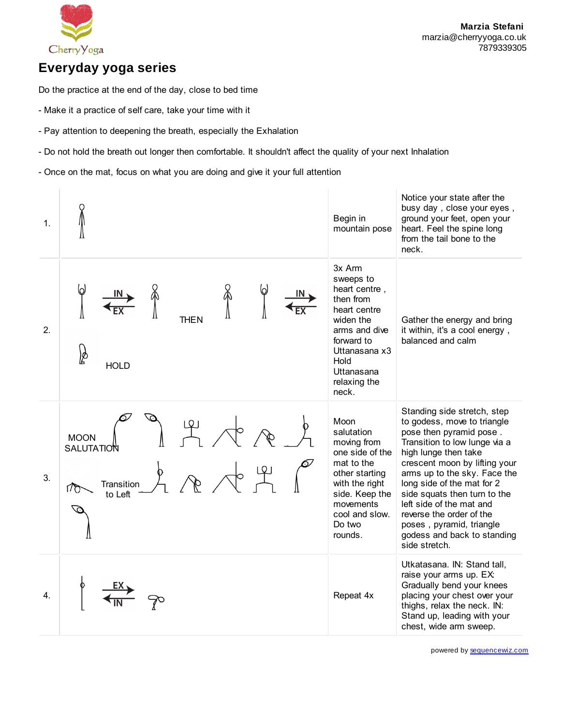

### **Everyday yoga series**

Do the practice at the end of the day, close to bed time

- Make it a practice of self care, take your time with it
- Pay attention to deepening the breath, especially the Exhalation
- Do not hold the breath out longer then comfortable. It shouldn't affect the quality of your next Inhalation
- Once on the mat, focus on what you are doing and give it your full attention



powered by [sequencewiz.com](http://www.sequencewiz.com/)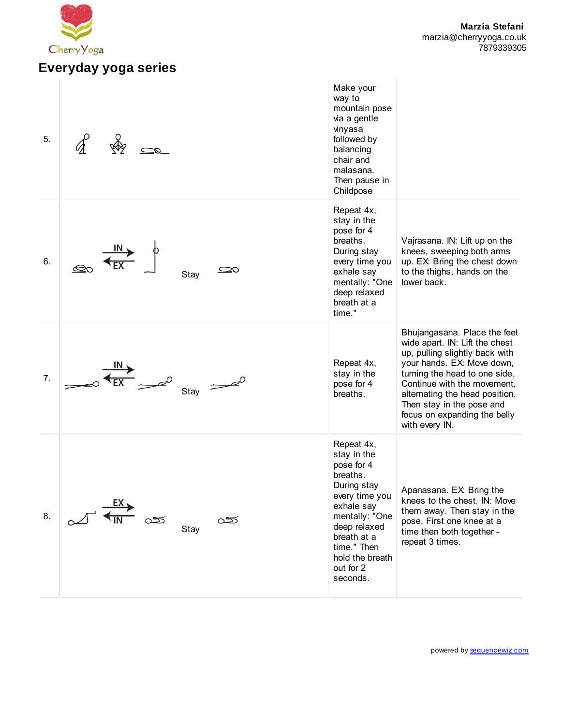

# **Everyday yoga series**

| 5. |                  | Make your<br>way to<br>mountain pose<br>via a gentle<br>vinyasa<br>followed by<br>balancing<br>chair and<br>malasana.<br>Then pause in<br>Childpose                                                            |                                                                                                                                                                                                                                                                                                                 |
|----|------------------|----------------------------------------------------------------------------------------------------------------------------------------------------------------------------------------------------------------|-----------------------------------------------------------------------------------------------------------------------------------------------------------------------------------------------------------------------------------------------------------------------------------------------------------------|
| 6. | مص<br>Stay       | Repeat 4x,<br>stay in the<br>pose for 4<br>breaths.<br>During stay<br>every time you<br>exhale say<br>mentally: "One<br>deep relaxed<br>breath at a<br>time."                                                  | Vajrasana. IN: Lift up on the<br>knees, sweeping both arms<br>up. EX: Bring the chest down<br>to the thighs, hands on the<br>lower back.                                                                                                                                                                        |
| 7. | Stay             | Repeat 4x,<br>stay in the<br>pose for 4<br>breaths.                                                                                                                                                            | Bhujangasana. Place the feet<br>wide apart. IN: Lift the chest<br>up, pulling slightly back with<br>your hands. EX: Move down,<br>turning the head to one side.<br>Continue with the movement,<br>alternating the head position.<br>Then stay in the pose and<br>focus on expanding the belly<br>with every IN. |
| 8. | యా<br>యా<br>Stay | Repeat 4x,<br>stay in the<br>pose for 4<br>breaths.<br>During stay<br>every time you<br>exhale say<br>mentally: "One<br>deep relaxed<br>breath at a<br>time." Then<br>hold the breath<br>out for 2<br>seconds. | Apanasana. EX: Bring the<br>knees to the chest. IN: Move<br>them away. Then stay in the<br>pose. First one knee at a<br>time then both together -<br>repeat 3 times.                                                                                                                                            |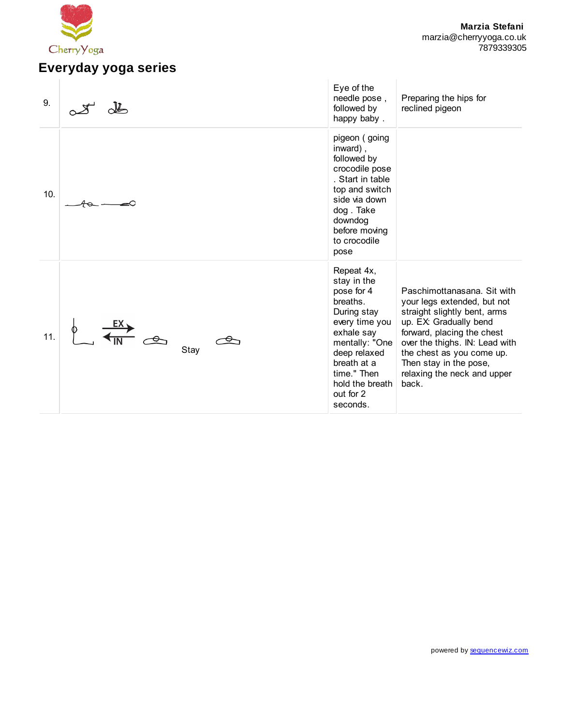

#### **Marzia Stefani** marzia@cherryyoga.co.uk 7879339305

# **Everyday yoga series**

| 9.  |      | Eye of the<br>needle pose,<br>followed by<br>happy baby.                                                                                                                                                       | Preparing the hips for<br>reclined pigeon                                                                                                                                                                                                                                           |
|-----|------|----------------------------------------------------------------------------------------------------------------------------------------------------------------------------------------------------------------|-------------------------------------------------------------------------------------------------------------------------------------------------------------------------------------------------------------------------------------------------------------------------------------|
| 10. |      | pigeon (going<br>inward),<br>followed by<br>crocodile pose<br>. Start in table<br>top and switch<br>side via down<br>dog. Take<br>downdog<br>before moving<br>to crocodile<br>pose                             |                                                                                                                                                                                                                                                                                     |
| 11. | Stay | Repeat 4x,<br>stay in the<br>pose for 4<br>breaths.<br>During stay<br>every time you<br>exhale say<br>mentally: "One<br>deep relaxed<br>breath at a<br>time." Then<br>hold the breath<br>out for 2<br>seconds. | Paschimottanasana. Sit with<br>your legs extended, but not<br>straight slightly bent, arms<br>up. EX: Gradually bend<br>forward, placing the chest<br>over the thighs. IN: Lead with<br>the chest as you come up.<br>Then stay in the pose,<br>relaxing the neck and upper<br>back. |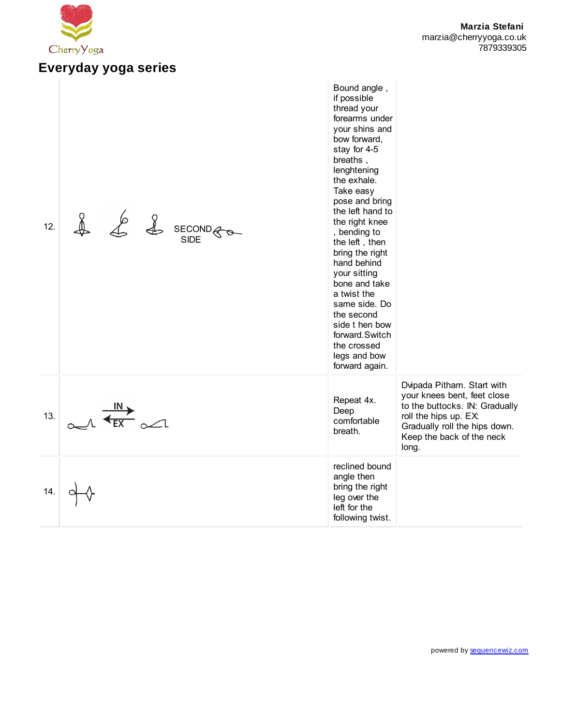

#### **Marzia Stefani** marzia@cherryyoga.co.uk 7879339305

#### Bound angle , if possible thread your forearms under your shins and bow forward, stay for 4-5 breaths , lenghtening the exhale. Take easy pose and bring the left hand to 12. the right knee SECOND , bending to SIDE the left , then bring the right hand behind your sitting bone and take a twist the same side. Do the second side t hen bow forward.Switch the crossed legs and bow forward again. Dvipada Pitham. Start with your knees bent, feet close Repeat 4x. to the buttocks. IN: Gradually  $\Lambda \stackrel{\text{IN}}{\overbrace{\text{EX}}} \longrightarrow$ Deep 13. roll the hips up. EX: comfortable Gradually roll the hips down. breath. Keep the back of the neck long. reclined bound angle then bring the right 14. leg over the left for the following twist.